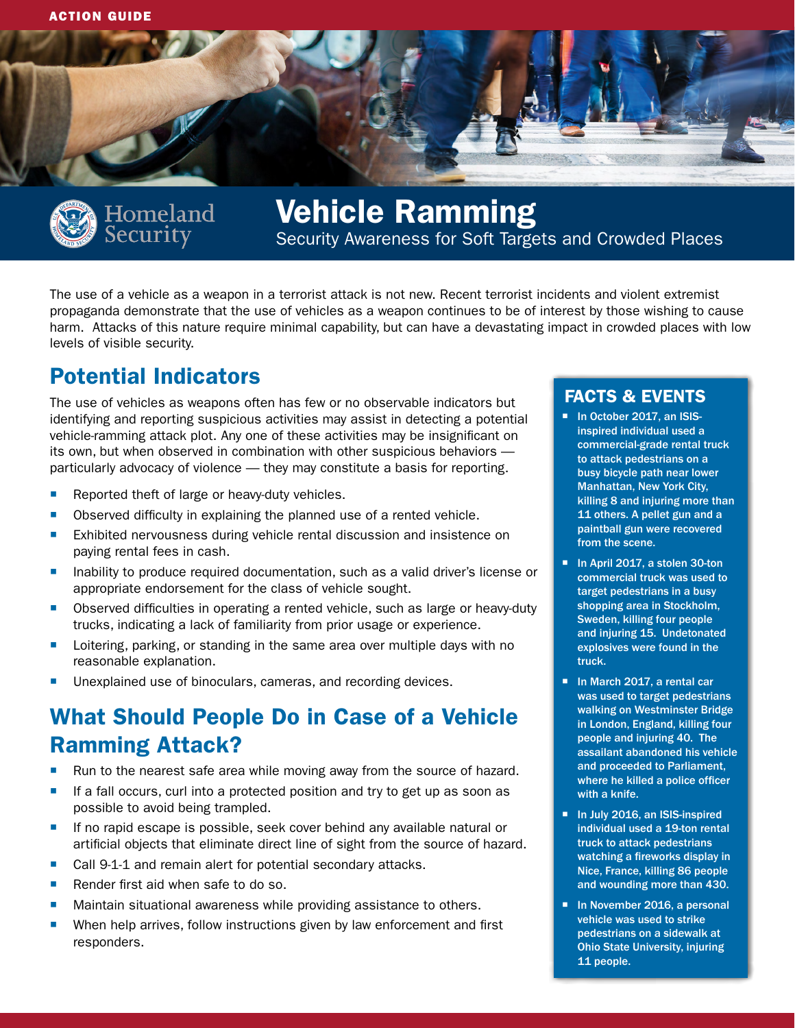



levels of visible security.

# Vehicle Ramming Security Awareness for Soft Targets and Crowded Places

The use of a vehicle as a weapon in a terrorist attack is not new. Recent terrorist incidents and violent extremist propaganda demonstrate that the use of vehicles as a weapon continues to be of interest by those wishing to cause harm. Attacks of this nature require minimal capability, but can have a devastating impact in crowded places with low

## Potential Indicators

The use of vehicles as weapons often has few or no observable indicators but identifying and reporting suspicious activities may assist in detecting a potential vehicle-ramming attack plot. Any one of these activities may be insignificant on its own, but when observed in combination with other suspicious behaviors particularly advocacy of violence — they may constitute a basis for reporting.

- Reported theft of large or heavy-duty vehicles.
- Observed difficulty in explaining the planned use of a rented vehicle.
- Exhibited nervousness during vehicle rental discussion and insistence on paying rental fees in cash.
- **Inability to produce required documentation, such as a valid driver's license or** appropriate endorsement for the class of vehicle sought.
- **Depension 1** Observed difficulties in operating a rented vehicle, such as large or heavy-duty trucks, indicating a lack of familiarity from prior usage or experience.
- Loitering, parking, or standing in the same area over multiple days with no reasonable explanation.
- Unexplained use of binoculars, cameras, and recording devices.

## What Should People Do in Case of a Vehicle Ramming Attack?

- Run to the nearest safe area while moving away from the source of hazard.
- If a fall occurs, curl into a protected position and try to get up as soon as possible to avoid being trampled.
- **If no rapid escape is possible, seek cover behind any available natural or** artificial objects that eliminate direct line of sight from the source of hazard.
- Call 9-1-1 and remain alert for potential secondary attacks.
- Render first aid when safe to do so.
- Maintain situational awareness while providing assistance to others.
- **When help arrives, follow instructions given by law enforcement and first** responders.

#### FACTS & EVENTS

- In October 2017, an ISISinspired individual used a commercial-grade rental truck to attack pedestrians on a busy bicycle path near lower Manhattan, New York City, killing 8 and injuring more than 11 others. A pellet gun and a paintball gun were recovered from the scene.
- In April 2017, a stolen 30-ton commercial truck was used to target pedestrians in a busy shopping area in Stockholm, Sweden, killing four people and injuring 15. Undetonated explosives were found in the truck.
- In March 2017, a rental car was used to target pedestrians walking on Westminster Bridge in London, England, killing four people and injuring 40. The assailant abandoned his vehicle and proceeded to Parliament, where he killed a police officer with a knife.
- In July 2016, an ISIS-inspired individual used a 19-ton rental truck to attack pedestrians watching a fireworks display in Nice, France, killing 86 people and wounding more than 430.
- In November 2016, a personal vehicle was used to strike pedestrians on a sidewalk at Ohio State University, injuring 11 people.